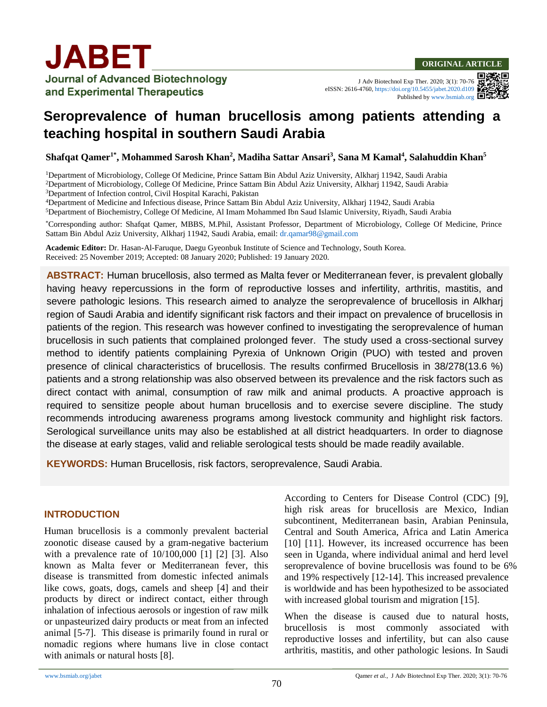J Adv Biotechnol Exp Ther. 2020; 3(1): 70-76 eISSN: 2616-4760,<https://doi.org/10.5455/jabet.2020.d109> Published b[y www.bsmiab.org](http://www.bsmiab.org/)

# **Seroprevalence of human brucellosis among patients attending a teaching hospital in southern Saudi Arabia**

**Shafqat Qamer1\* , Mohammed Sarosh Khan<sup>2</sup> , Madiha Sattar Ansari<sup>3</sup> , Sana M Kamal<sup>4</sup> , Salahuddin Khan<sup>5</sup>**

<sup>1</sup>Department of Microbiology, College Of Medicine, Prince Sattam Bin Abdul Aziz University, Alkharj 11942, Saudi Arabia <sup>2</sup>Department of Microbiology, College Of Medicine, Prince Sattam Bin Abdul Aziz University, Alkharj 11942, Saudi Arabia.

<sup>3</sup>Department of Infection control, Civil Hospital Karachi, Pakistan

<sup>4</sup>Department of Medicine and Infectious disease, Prince Sattam Bin Abdul Aziz University, Alkharj 11942, Saudi Arabia

<sup>5</sup>Department of Biochemistry, College Of Medicine, Al Imam Mohammed Ibn Saud Islamic University, Riyadh, Saudi Arabia

\*Corresponding author: Shafqat Qamer, MBBS, M.Phil, Assistant Professor, Department of Microbiology, College Of Medicine, Prince Sattam Bin Abdul Aziz University, Alkharj 11942, Saudi Arabia, email: [dr.qamar98@gmail.com](mailto:dr.qamar98@gmail.com)

**Academic Editor:** Dr. Hasan-Al-Faruque, Daegu Gyeonbuk Institute of Science and Technology, South Korea. Received: 25 November 2019; Accepted: 08 January 2020; Published: 19 January 2020.

**ABSTRACT:** Human brucellosis, also termed as Malta fever or Mediterranean fever, is prevalent globally having heavy repercussions in the form of reproductive losses and infertility, arthritis, mastitis, and severe pathologic lesions. This research aimed to analyze the seroprevalence of brucellosis in Alkharj region of Saudi Arabia and identify significant risk factors and their impact on prevalence of brucellosis in patients of the region. This research was however confined to investigating the seroprevalence of human brucellosis in such patients that complained prolonged fever. The study used a cross-sectional survey method to identify patients complaining Pyrexia of Unknown Origin (PUO) with tested and proven presence of clinical characteristics of brucellosis. The results confirmed Brucellosis in 38/278(13.6 %) patients and a strong relationship was also observed between its prevalence and the risk factors such as direct contact with animal, consumption of raw milk and animal products. A proactive approach is required to sensitize people about human brucellosis and to exercise severe discipline. The study recommends introducing awareness programs among livestock community and highlight risk factors. Serological surveillance units may also be established at all district headquarters. In order to diagnose the disease at early stages, valid and reliable serological tests should be made readily available.

**KEYWORDS:** Human Brucellosis, risk factors, seroprevalence, Saudi Arabia.

## **INTRODUCTION**

Human brucellosis is a commonly prevalent bacterial zoonotic disease caused by a gram-negative bacterium with a prevalence rate of 10/100,000 [1] [2] [3]. Also known as Malta fever or Mediterranean fever, this disease is transmitted from domestic infected animals like cows, goats, dogs, camels and sheep [4] and their products by direct or indirect contact, either through inhalation of infectious aerosols or ingestion of raw milk or unpasteurized dairy products or meat from an infected animal [5-7]. This disease is primarily found in rural or nomadic regions where humans live in close contact with animals or natural hosts [8].

According to Centers for Disease Control (CDC) [9], high risk areas for brucellosis are Mexico, Indian subcontinent, Mediterranean basin, Arabian Peninsula, Central and South America, Africa and Latin America [10] [11]. However, its increased occurrence has been seen in Uganda, where individual animal and herd level seroprevalence of bovine brucellosis was found to be 6% and 19% respectively [12-14]. This increased prevalence is worldwide and has been hypothesized to be associated with increased global tourism and migration [15].

When the disease is caused due to natural hosts, brucellosis is most commonly associated with reproductive losses and infertility, but can also cause arthritis, mastitis, and other pathologic lesions. In Saudi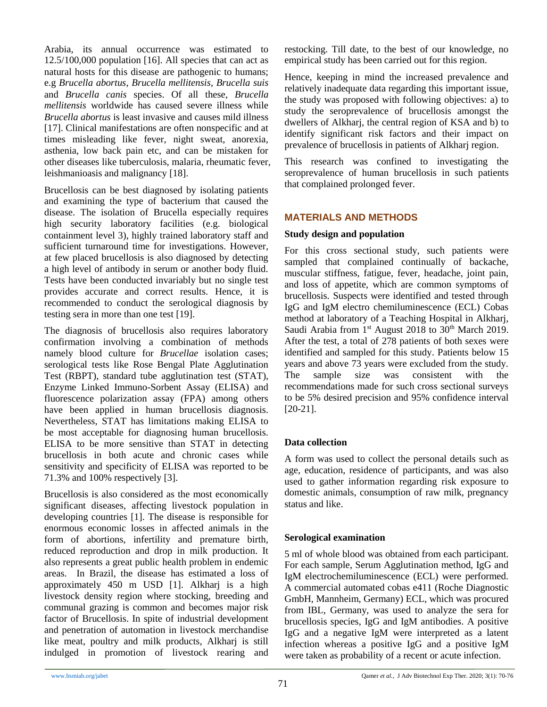Arabia, its annual occurrence was estimated to 12.5/100,000 population [16]. All species that can act as natural hosts for this disease are pathogenic to humans; e.g *Brucella abortus*, *Brucella mellitensis*, *Brucella suis* and *Brucella canis* species. Of all these, *Brucella mellitensis* worldwide has caused severe illness while *Brucella abortus* is least invasive and causes mild illness [17]. Clinical manifestations are often nonspecific and at times misleading like fever, night sweat, anorexia, asthenia, low back pain etc, and can be mistaken for other diseases like tuberculosis, malaria, rheumatic fever, leishmanioasis and malignancy [18].

Brucellosis can be best diagnosed by isolating patients and examining the type of bacterium that caused the disease. The isolation of Brucella especially requires high security laboratory facilities (e.g. biological containment level 3), highly trained laboratory staff and sufficient turnaround time for investigations. However, at few placed brucellosis is also diagnosed by detecting a high level of antibody in serum or another body fluid. Tests have been conducted invariably but no single test provides accurate and correct results. Hence, it is recommended to conduct the serological diagnosis by testing sera in more than one test [19].

The diagnosis of brucellosis also requires laboratory confirmation involving a combination of methods namely blood culture for *Brucellae* isolation cases; serological tests like Rose Bengal Plate Agglutination Test (RBPT), standard tube agglutination test (STAT), Enzyme Linked Immuno-Sorbent Assay (ELISA) and fluorescence polarization assay (FPA) among others have been applied in human brucellosis diagnosis. Nevertheless, STAT has limitations making ELISA to be most acceptable for diagnosing human brucellosis. ELISA to be more sensitive than STAT in detecting brucellosis in both acute and chronic cases while sensitivity and specificity of ELISA was reported to be 71.3% and 100% respectively [3].

Brucellosis is also considered as the most economically significant diseases, affecting livestock population in developing countries [1]. The disease is responsible for enormous economic losses in affected animals in the form of abortions, infertility and premature birth, reduced reproduction and drop in milk production. It also represents a great public health problem in endemic areas. In Brazil, the disease has estimated a loss of approximately 450 m USD [1]. Alkharj is a high livestock density region where stocking, breeding and communal grazing is common and becomes major risk factor of Brucellosis. In spite of industrial development and penetration of automation in livestock merchandise like meat, poultry and milk products, Alkharj is still indulged in promotion of livestock rearing and

restocking. Till date, to the best of our knowledge, no empirical study has been carried out for this region.

Hence, keeping in mind the increased prevalence and relatively inadequate data regarding this important issue, the study was proposed with following objectives: a) to study the seroprevalence of brucellosis amongst the dwellers of Alkharj, the central region of KSA and b) to identify significant risk factors and their impact on prevalence of brucellosis in patients of Alkharj region.

This research was confined to investigating the seroprevalence of human brucellosis in such patients that complained prolonged fever.

## **MATERIALS AND METHODS**

### **Study design and population**

For this cross sectional study, such patients were sampled that complained continually of backache, muscular stiffness, fatigue, fever, headache, joint pain, and loss of appetite, which are common symptoms of brucellosis. Suspects were identified and tested through IgG and IgM electro chemiluminescence (ECL) Cobas method at laboratory of a Teaching Hospital in Alkharj, Saudi Arabia from  $1<sup>st</sup>$  August 2018 to 30<sup>th</sup> March 2019. After the test, a total of 278 patients of both sexes were identified and sampled for this study. Patients below 15 years and above 73 years were excluded from the study. The sample size was consistent with the recommendations made for such cross sectional surveys to be 5% desired precision and 95% confidence interval [20-21].

## **Data collection**

A form was used to collect the personal details such as age, education, residence of participants, and was also used to gather information regarding risk exposure to domestic animals, consumption of raw milk, pregnancy status and like.

#### **Serological examination**

5 ml of whole blood was obtained from each participant. For each sample, Serum Agglutination method, IgG and IgM electrochemiluminescence (ECL) were performed. A commercial automated cobas e411 (Roche Diagnostic GmbH, Mannheim, Germany) ECL, which was procured from IBL, Germany, was used to analyze the sera for brucellosis species, IgG and IgM antibodies. A positive IgG and a negative IgM were interpreted as a latent infection whereas a positive IgG and a positive IgM were taken as probability of a recent or acute infection.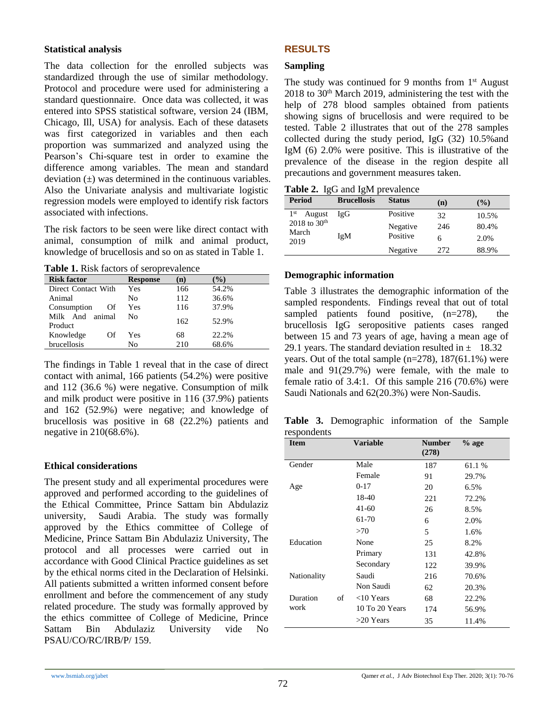### **Statistical analysis**

The data collection for the enrolled subjects was standardized through the use of similar methodology. Protocol and procedure were used for administering a standard questionnaire. Once data was collected, it was entered into SPSS statistical software, version 24 (IBM, Chicago, Ill, USA) for analysis. Each of these datasets was first categorized in variables and then each proportion was summarized and analyzed using the Pearson's Chi-square test in order to examine the difference among variables. The mean and standard deviation  $(\pm)$  was determined in the continuous variables. Also the Univariate analysis and multivariate logistic regression models were employed to identify risk factors associated with infections.

The risk factors to be seen were like direct contact with animal, consumption of milk and animal product, knowledge of brucellosis and so on as stated in Table 1.

**Table 1.** Risk factors of seroprevalence

| <b>Risk factor</b>            | <b>Response</b> | (n) | $\%$  |
|-------------------------------|-----------------|-----|-------|
| Direct Contact With           | Yes             | 166 | 54.2% |
| Animal                        | No              | 112 | 36.6% |
| Consumption<br>Of             | Yes             | 116 | 37.9% |
| Milk And<br>animal<br>Product | Nο              | 162 | 52.9% |
| Knowledge<br>Of               | Yes             | 68  | 22.2% |
| brucellosis                   | No              | 210 | 68.6% |

The findings in Table 1 reveal that in the case of direct contact with animal, 166 patients (54.2%) were positive and 112 (36.6 %) were negative. Consumption of milk and milk product were positive in 116 (37.9%) patients and 162 (52.9%) were negative; and knowledge of brucellosis was positive in 68 (22.2%) patients and negative in 210(68.6%).

## **Ethical considerations**

The present study and all experimental procedures were approved and performed according to the guidelines of the Ethical Committee, Prince Sattam bin Abdulaziz university, Saudi Arabia. The study was formally approved by the Ethics committee of College of Medicine, Prince Sattam Bin Abdulaziz University, The protocol and all processes were carried out in accordance with Good Clinical Practice guidelines as set by the ethical norms cited in the Declaration of Helsinki. All patients submitted a written informed consent before enrollment and before the commencement of any study related procedure. The study was formally approved by the ethics committee of College of Medicine, Prince Sattam Bin Abdulaziz University vide No PSAU/CO/RC/IRB/P/ 159.

## **RESULTS**

#### **Sampling**

The study was continued for 9 months from  $1<sup>st</sup>$  August  $2018$  to  $30<sup>th</sup>$  March 2019, administering the test with the help of 278 blood samples obtained from patients showing signs of brucellosis and were required to be tested. Table 2 illustrates that out of the 278 samples collected during the study period, IgG (32) 10.5%and IgM (6) 2.0% were positive. This is illustrative of the prevalence of the disease in the region despite all precautions and government measures taken.

**Table 2.** IgG and IgM prevalence

| <b>Period</b>                      | <b>Brucellosis</b> | <b>Status</b> | (n)  | $($ %) |
|------------------------------------|--------------------|---------------|------|--------|
| 1 <sup>st</sup><br>August          | IgG                | Positive      | 32   | 10.5%  |
| 2018 to $30^{th}$<br>March<br>2019 | IgM                | Negative      | 246  | 80.4%  |
|                                    |                    | Positive      | 6    | 2.0%   |
|                                    |                    | Negative      | 2.72 | 88.9%  |

## **Demographic information**

Table 3 illustrates the demographic information of the sampled respondents. Findings reveal that out of total sampled patients found positive,  $(n=278)$ , the brucellosis IgG seropositive patients cases ranged between 15 and 73 years of age, having a mean age of 29.1 years. The standard deviation resulted in  $\pm$  18.32 years. Out of the total sample  $(n=278)$ , 187 $(61.1\%)$  were male and 91(29.7%) were female, with the male to female ratio of 3.4:1. Of this sample 216 (70.6%) were Saudi Nationals and 62(20.3%) were Non-Saudis.

**Table 3.** Demographic information of the Sample respondents

| <b>Item</b> |    | <b>Variable</b> | <b>Number</b><br>(278) | $%$ age |
|-------------|----|-----------------|------------------------|---------|
| Gender      |    | Male            | 187                    | 61.1 %  |
|             |    | Female          | 91                     | 29.7%   |
| Age         |    | $0-17$          | 20                     | 6.5%    |
|             |    | 18-40           | 221                    | 72.2%   |
|             |    | 41-60           | 26                     | 8.5%    |
|             |    | 61-70           | 6                      | 2.0%    |
|             |    | >70             | 5                      | 1.6%    |
| Education   |    | None            | 25                     | 8.2%    |
|             |    | Primary         | 131                    | 42.8%   |
|             |    | Secondary       | 122                    | 39.9%   |
| Nationality |    | Saudi           | 216                    | 70.6%   |
|             |    | Non Saudi       | 62                     | 20.3%   |
| Duration    | of | $<$ 10 Years    | 68                     | 22.2%   |
| work        |    | 10 To 20 Years  | 174                    | 56.9%   |
|             |    | $>20$ Years     | 35                     | 11.4%   |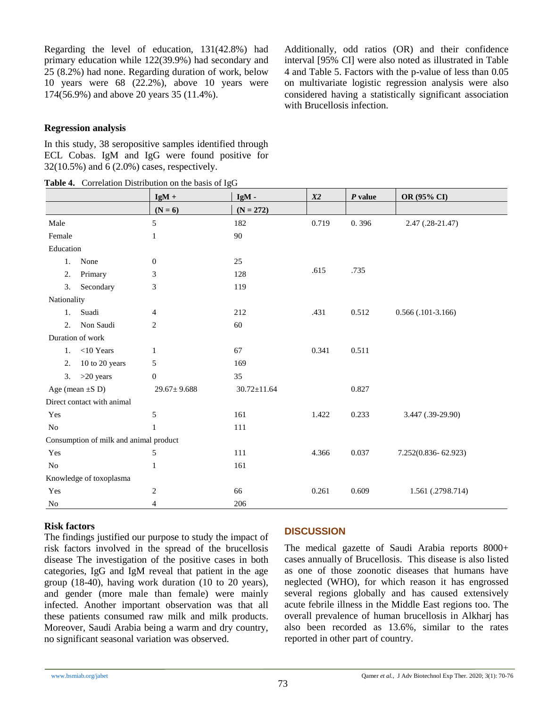Regarding the level of education, 131(42.8%) had primary education while 122(39.9%) had secondary and 25 (8.2%) had none. Regarding duration of work, below 10 years were 68 (22.2%), above 10 years were 174(56.9%) and above 20 years 35 (11.4%).

Additionally, odd ratios (OR) and their confidence interval [95% CI] were also noted as illustrated in Table 4 and Table 5. Factors with the p-value of less than 0.05 on multivariate logistic regression analysis were also considered having a statistically significant association with Brucellosis infection*.*

#### **Regression analysis**

In this study, 38 seropositive samples identified through ECL Cobas. IgM and IgG were found positive for 32(10.5%) and 6 (2.0%) cases, respectively.

|  |  | Table 4. Correlation Distribution on the basis of IgG |  |  |  |
|--|--|-------------------------------------------------------|--|--|--|
|--|--|-------------------------------------------------------|--|--|--|

|                                        |                            | $\ldots$ $\ldots$<br>$IgM +$ | IgM-              | X2    | $P$ value | <b>OR (95% CI)</b>     |
|----------------------------------------|----------------------------|------------------------------|-------------------|-------|-----------|------------------------|
|                                        |                            | $(N = 6)$                    | $(N = 272)$       |       |           |                        |
| Male                                   |                            | 5                            | 182               | 0.719 | 0.396     | $2.47(.28-21.47)$      |
| Female                                 |                            | 1                            | 90                |       |           |                        |
| Education                              |                            |                              |                   |       |           |                        |
| 1.                                     | None                       | $\boldsymbol{0}$             | 25                |       |           |                        |
| 2.                                     | Primary                    | 3                            | 128               | .615  | .735      |                        |
| 3.                                     | Secondary                  | 3                            | 119               |       |           |                        |
| Nationality                            |                            |                              |                   |       |           |                        |
| 1.                                     | Suadi                      | $\overline{4}$               | 212               | .431  | 0.512     | $0.566$ $(.101-3.166)$ |
| 2.                                     | Non Saudi                  | $\overline{c}$               | 60                |       |           |                        |
|                                        | Duration of work           |                              |                   |       |           |                        |
|                                        | 1. $\langle$ 10 Years      | 1                            | 67                | 0.341 | 0.511     |                        |
| 2.                                     | 10 to 20 years             | 5                            | 169               |       |           |                        |
| 3.                                     | $>20$ years                | $\boldsymbol{0}$             | 35                |       |           |                        |
|                                        | Age (mean $\pm S$ D)       | $29.67 \pm 9.688$            | $30.72 \pm 11.64$ |       | 0.827     |                        |
|                                        | Direct contact with animal |                              |                   |       |           |                        |
| Yes                                    |                            | 5                            | 161               | 1.422 | 0.233     | 3.447 (.39-29.90)      |
| <b>No</b>                              |                            | 1                            | 111               |       |           |                        |
| Consumption of milk and animal product |                            |                              |                   |       |           |                        |
| Yes                                    |                            | 5                            | 111               | 4.366 | 0.037     | 7.252(0.836-62.923)    |
| No                                     |                            | 1                            | 161               |       |           |                        |
| Knowledge of toxoplasma                |                            |                              |                   |       |           |                        |
| Yes                                    |                            | $\overline{c}$               | 66                | 0.261 | 0.609     | 1.561 (.2798.714)      |
| No                                     |                            | 4                            | 206               |       |           |                        |

#### **Risk factors**

The findings justified our purpose to study the impact of risk factors involved in the spread of the brucellosis disease The investigation of the positive cases in both categories, IgG and IgM reveal that patient in the age group (18-40), having work duration (10 to 20 years), and gender (more male than female) were mainly infected. Another important observation was that all these patients consumed raw milk and milk products. Moreover, Saudi Arabia being a warm and dry country, no significant seasonal variation was observed.

#### **DISCUSSION**

The medical gazette of Saudi Arabia reports 8000+ cases annually of Brucellosis. This disease is also listed as one of those zoonotic diseases that humans have neglected (WHO), for which reason it has engrossed several regions globally and has caused extensively acute febrile illness in the Middle East regions too. The overall prevalence of human brucellosis in Alkharj has also been recorded as 13.6%, similar to the rates reported in other part of country.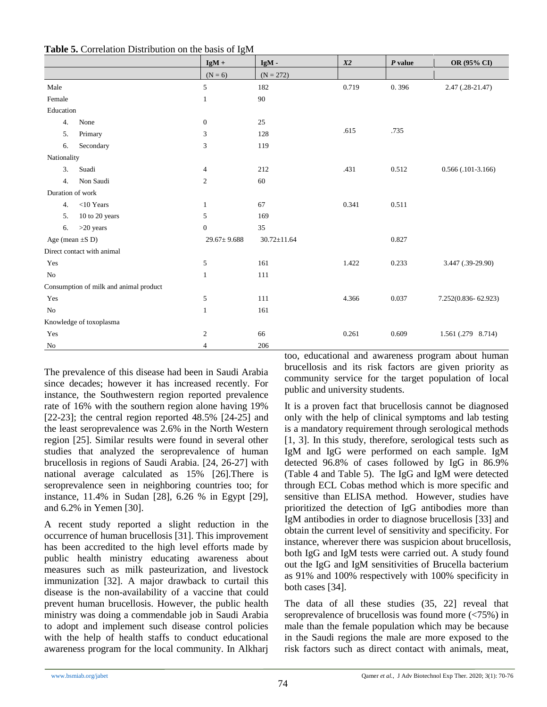|                      |                                        | $IgM +$           | $IgM -$           | X2    | $P$ value | OR (95% CI)            |
|----------------------|----------------------------------------|-------------------|-------------------|-------|-----------|------------------------|
|                      |                                        | $(N = 6)$         | $(N = 272)$       |       |           |                        |
| Male                 |                                        | 5                 | 182               | 0.719 | 0.396     | 2.47 (.28-21.47)       |
| Female               |                                        | $\mathbf{1}$      | 90                |       |           |                        |
| Education            |                                        |                   |                   |       |           |                        |
| 4.                   | None                                   | $\mathbf{0}$      | 25                |       |           |                        |
| 5.                   | Primary                                | 3                 | 128               | .615  | .735      |                        |
| 6.                   | Secondary                              | 3                 | 119               |       |           |                        |
| Nationality          |                                        |                   |                   |       |           |                        |
| 3.                   | Suadi                                  | 4                 | 212               | .431  | 0.512     | $0.566$ $(.101-3.166)$ |
| 4.                   | Non Saudi                              | $\overline{c}$    | 60                |       |           |                        |
| Duration of work     |                                        |                   |                   |       |           |                        |
| 4.                   | $<$ 10 Years                           | $\mathbf{1}$      | 67                | 0.341 | 0.511     |                        |
| 5.                   | 10 to 20 years                         | 5                 | 169               |       |           |                        |
| 6.                   | $>20$ years                            | $\mathbf{0}$      | 35                |       |           |                        |
| Age (mean $\pm$ S D) |                                        | $29.67 \pm 9.688$ | $30.72 \pm 11.64$ |       | 0.827     |                        |
|                      | Direct contact with animal             |                   |                   |       |           |                        |
| Yes                  |                                        | 5                 | 161               | 1.422 | 0.233     | 3.447 (.39-29.90)      |
| No                   |                                        | $\mathbf{1}$      | 111               |       |           |                        |
|                      | Consumption of milk and animal product |                   |                   |       |           |                        |
| Yes                  |                                        | 5                 | 111               | 4.366 | 0.037     | 7.252(0.836-62.923)    |
| No                   |                                        | $\mathbf{1}$      | 161               |       |           |                        |
|                      | Knowledge of toxoplasma                |                   |                   |       |           |                        |
| Yes                  |                                        | $\overline{c}$    | 66                | 0.261 | 0.609     | 1.561 (.279 8.714)     |
| No                   |                                        | $\overline{4}$    | 206               |       |           |                        |

**Table 5.** Correlation Distribution on the basis of IgM

The prevalence of this disease had been in Saudi Arabia since decades; however it has increased recently. For instance, the Southwestern region reported prevalence rate of 16% with the southern region alone having 19% [22-23]; the central region reported  $48.5\%$  [24-25] and the least seroprevalence was 2.6% in the North Western region [25]. Similar results were found in several other studies that analyzed the seroprevalence of human brucellosis in regions of Saudi Arabia. [24, 26-27] with national average calculated as 15% [26].There is seroprevalence seen in neighboring countries too; for instance, 11.4% in Sudan [28], 6.26 % in Egypt [29], and 6.2% in Yemen [30].

A recent study reported a slight reduction in the occurrence of human brucellosis [31]. This improvement has been accredited to the high level efforts made by public health ministry educating awareness about measures such as milk pasteurization, and livestock immunization [32]. A major drawback to curtail this disease is the non-availability of a vaccine that could prevent human brucellosis. However, the public health ministry was doing a commendable job in Saudi Arabia to adopt and implement such disease control policies with the help of health staffs to conduct educational awareness program for the local community. In Alkharj too, educational and awareness program about human brucellosis and its risk factors are given priority as community service for the target population of local public and university students.

It is a proven fact that brucellosis cannot be diagnosed only with the help of clinical symptoms and lab testing is a mandatory requirement through serological methods [1, 3]. In this study, therefore, serological tests such as IgM and IgG were performed on each sample. IgM detected 96.8% of cases followed by IgG in 86.9% (Table 4 and Table 5). The IgG and IgM were detected through ECL Cobas method which is more specific and sensitive than ELISA method. However, studies have prioritized the detection of IgG antibodies more than IgM antibodies in order to diagnose brucellosis [33] and obtain the current level of sensitivity and specificity. For instance, wherever there was suspicion about brucellosis, both IgG and IgM tests were carried out. A study found out the IgG and IgM sensitivities of Brucella bacterium as 91% and 100% respectively with 100% specificity in both cases [34].

The data of all these studies (35, 22] reveal that seroprevalence of brucellosis was found more (<75%) in male than the female population which may be because in the Saudi regions the male are more exposed to the risk factors such as direct contact with animals, meat,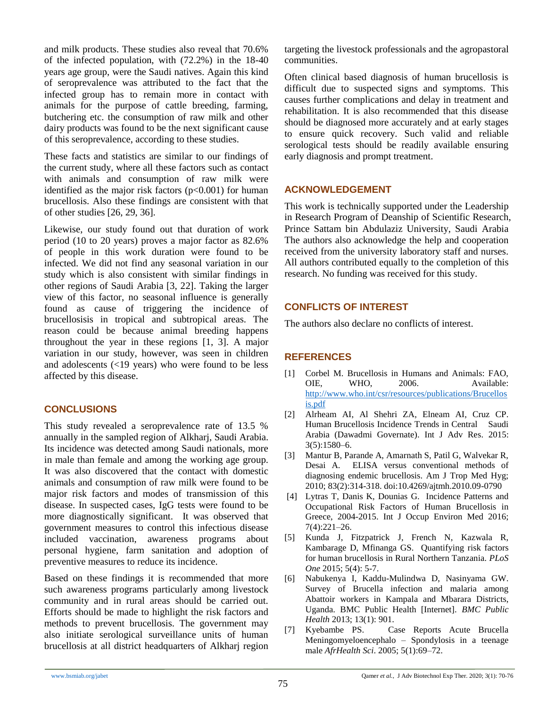and milk products. These studies also reveal that 70.6% of the infected population, with (72.2%) in the 18-40 years age group, were the Saudi natives. Again this kind of seroprevalence was attributed to the fact that the infected group has to remain more in contact with animals for the purpose of cattle breeding, farming, butchering etc. the consumption of raw milk and other dairy products was found to be the next significant cause of this seroprevalence, according to these studies.

These facts and statistics are similar to our findings of the current study, where all these factors such as contact with animals and consumption of raw milk were identified as the major risk factors  $(p<0.001)$  for human brucellosis. Also these findings are consistent with that of other studies [26, 29, 36].

Likewise, our study found out that duration of work period (10 to 20 years) proves a major factor as 82.6% of people in this work duration were found to be infected. We did not find any seasonal variation in our study which is also consistent with similar findings in other regions of Saudi Arabia [3, 22]. Taking the larger view of this factor, no seasonal influence is generally found as cause of triggering the incidence of brucellosisis in tropical and subtropical areas. The reason could be because animal breeding happens throughout the year in these regions [1, 3]. A major variation in our study, however, was seen in children and adolescents (<19 years) who were found to be less affected by this disease.

## **CONCLUSIONS**

This study revealed a seroprevalence rate of 13.5 % annually in the sampled region of Alkharj, Saudi Arabia. Its incidence was detected among Saudi nationals, more in male than female and among the working age group. It was also discovered that the contact with domestic animals and consumption of raw milk were found to be major risk factors and modes of transmission of this disease. In suspected cases, IgG tests were found to be more diagnostically significant. It was observed that government measures to control this infectious disease included vaccination, awareness programs about personal hygiene, farm sanitation and adoption of preventive measures to reduce its incidence.

Based on these findings it is recommended that more such awareness programs particularly among livestock community and in rural areas should be carried out. Efforts should be made to highlight the risk factors and methods to prevent brucellosis. The government may also initiate serological surveillance units of human brucellosis at all district headquarters of Alkharj region targeting the livestock professionals and the agropastoral communities.

Often clinical based diagnosis of human brucellosis is difficult due to suspected signs and symptoms. This causes further complications and delay in treatment and rehabilitation. It is also recommended that this disease should be diagnosed more accurately and at early stages to ensure quick recovery. Such valid and reliable serological tests should be readily available ensuring early diagnosis and prompt treatment.

## **ACKNOWLEDGEMENT**

This work is technically supported under the Leadership in Research Program of Deanship of Scientific Research, Prince Sattam bin Abdulaziz University, Saudi Arabia The authors also acknowledge the help and cooperation received from the university laboratory staff and nurses. All authors contributed equally to the completion of this research. No funding was received for this study.

## **CONFLICTS OF INTEREST**

The authors also declare no conflicts of interest.

## **REFERENCES**

- [1] Corbel M. Brucellosis in Humans and Animals: FAO, OIE, WHO, 2006. Available: [http://www.who.int/csr/resources/publications/Brucellos](http://www.who.int/csr/resources/publications/Brucellosis.pdf) [is.pdf](http://www.who.int/csr/resources/publications/Brucellosis.pdf)
- [2] Alrheam AI, Al Shehri ZA, Elneam AI, Cruz CP. Human Brucellosis Incidence Trends in Central Saudi Arabia (Dawadmi Governate). Int J Adv Res. 2015: 3(5):1580–6.
- [3] Mantur B, Parande A, Amarnath S, Patil G, Walvekar R, Desai A. ELISA versus conventional methods of diagnosing endemic brucellosis. Am J Trop Med Hyg; 2010; 83(2):314-318. doi:10.4269/ajtmh.2010.09-0790
- [4] Lytras T, Danis K, Dounias G. Incidence Patterns and Occupational Risk Factors of Human Brucellosis in Greece, 2004-2015. Int J Occup Environ Med 2016; 7(4):221–26.
- [5] Kunda J, Fitzpatrick J, French N, Kazwala R, Kambarage D, Mfinanga GS. Quantifying risk factors for human brucellosis in Rural Northern Tanzania. *PLoS One* 2015; 5(4): 5-7.
- [6] Nabukenya I, Kaddu-Mulindwa D, Nasinyama GW. Survey of Brucella infection and malaria among Abattoir workers in Kampala and Mbarara Districts, Uganda. BMC Public Health [Internet]. *BMC Public Health* 2013; 13(1): 901.
- [7] Kyebambe PS. Case Reports Acute Brucella Meningomyeloencephalo – Spondylosis in a teenage male *AfrHealth Sci*. 2005; 5(1):69–72.